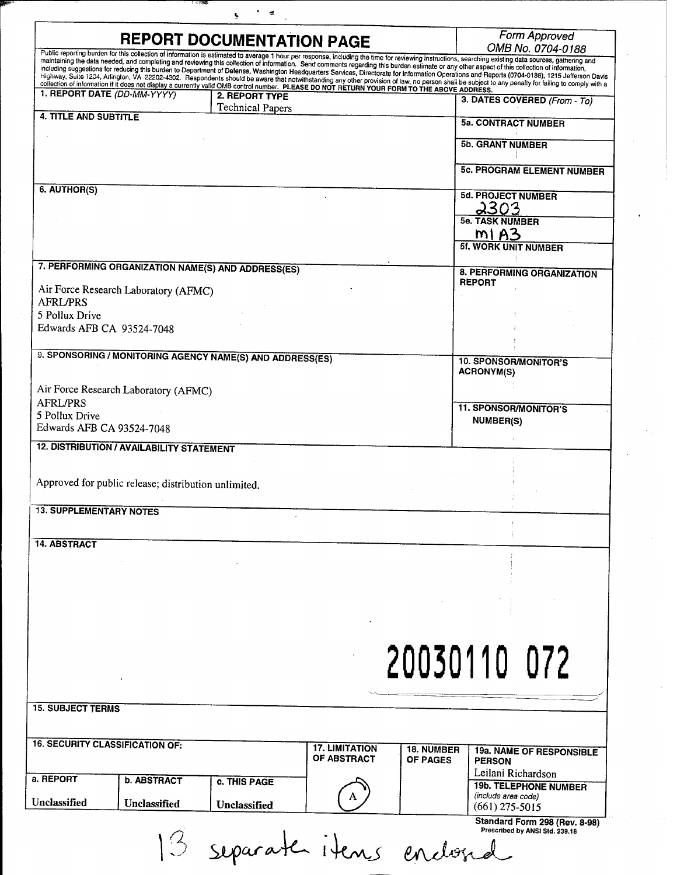|                                   |                                                      | ÷                                                                                                                                                             |                                      |                 |                                                                                                                                                                                                                                                                                                                                                                                                        |
|-----------------------------------|------------------------------------------------------|---------------------------------------------------------------------------------------------------------------------------------------------------------------|--------------------------------------|-----------------|--------------------------------------------------------------------------------------------------------------------------------------------------------------------------------------------------------------------------------------------------------------------------------------------------------------------------------------------------------------------------------------------------------|
|                                   |                                                      | <b>REPORT DOCUMENTATION PAGE</b>                                                                                                                              |                                      |                 | Form Approved<br>OMB No. 0704-0188                                                                                                                                                                                                                                                                                                                                                                     |
|                                   |                                                      |                                                                                                                                                               |                                      |                 | Public reporting burden for this collection of information is estimated to average 1 hour per response, including the time for reviewing instructions, searching existing data sources, gathering and<br>maintaining the data needed, and completing and reviewing this collection of information. Send comments regarding this burden estimate or any other aspect of this collection of information, |
|                                   |                                                      |                                                                                                                                                               |                                      |                 | including suggestions for reducing this burden to Department of Defense, Washington Headquarters Services, Directorate for Information Operations and Reports (0704-0188), 1215 Jefferson Davis<br>Highway, Suite 1204, Arlington, VA 22202-4302. Respondents should be aware that notwithstanding any other provision of law, no person shall be subject to any penalty for failing to comply with a  |
|                                   | 1. REPORT DATE (DD-MM-YYYY)                          | collection of information if it does not display a currently valid OMB control number. PLEASE DO NOT RETURN YOUR FORM TO THE ABOVE ADDRESS.<br>2. REPORT TYPE |                                      |                 |                                                                                                                                                                                                                                                                                                                                                                                                        |
|                                   |                                                      | <b>Technical Papers</b>                                                                                                                                       |                                      |                 | 3. DATES COVERED (From - To)                                                                                                                                                                                                                                                                                                                                                                           |
| <b>4. TITLE AND SUBTITLE</b>      |                                                      |                                                                                                                                                               |                                      |                 | <b>5a. CONTRACT NUMBER</b>                                                                                                                                                                                                                                                                                                                                                                             |
|                                   |                                                      |                                                                                                                                                               |                                      |                 |                                                                                                                                                                                                                                                                                                                                                                                                        |
|                                   |                                                      |                                                                                                                                                               |                                      |                 | 5b. GRANT NUMBER                                                                                                                                                                                                                                                                                                                                                                                       |
|                                   |                                                      |                                                                                                                                                               |                                      |                 | <b>5c. PROGRAM ELEMENT NUMBER</b>                                                                                                                                                                                                                                                                                                                                                                      |
|                                   |                                                      |                                                                                                                                                               |                                      |                 |                                                                                                                                                                                                                                                                                                                                                                                                        |
| 6. AUTHOR(S)                      |                                                      |                                                                                                                                                               |                                      |                 | <b>5d. PROJECT NUMBER</b>                                                                                                                                                                                                                                                                                                                                                                              |
|                                   |                                                      |                                                                                                                                                               |                                      |                 | 2303                                                                                                                                                                                                                                                                                                                                                                                                   |
|                                   |                                                      |                                                                                                                                                               |                                      |                 | <b>5e. TASK NUMBER</b>                                                                                                                                                                                                                                                                                                                                                                                 |
|                                   |                                                      |                                                                                                                                                               |                                      |                 | m1A3<br><b>5f. WORK UNIT NUMBER</b>                                                                                                                                                                                                                                                                                                                                                                    |
|                                   |                                                      |                                                                                                                                                               |                                      |                 |                                                                                                                                                                                                                                                                                                                                                                                                        |
|                                   |                                                      | 7. PERFORMING ORGANIZATION NAME(S) AND ADDRESS(ES)                                                                                                            |                                      |                 | 8. PERFORMING ORGANIZATION                                                                                                                                                                                                                                                                                                                                                                             |
|                                   | Air Force Research Laboratory (AFMC)                 |                                                                                                                                                               |                                      |                 | <b>REPORT</b>                                                                                                                                                                                                                                                                                                                                                                                          |
| <b>AFRL/PRS</b>                   |                                                      |                                                                                                                                                               |                                      |                 |                                                                                                                                                                                                                                                                                                                                                                                                        |
| 5 Pollux Drive                    |                                                      |                                                                                                                                                               |                                      |                 |                                                                                                                                                                                                                                                                                                                                                                                                        |
| Edwards AFB CA 93524-7048         |                                                      |                                                                                                                                                               |                                      |                 |                                                                                                                                                                                                                                                                                                                                                                                                        |
|                                   |                                                      |                                                                                                                                                               |                                      |                 |                                                                                                                                                                                                                                                                                                                                                                                                        |
|                                   |                                                      | 9. SPONSORING / MONITORING AGENCY NAME(S) AND ADDRESS(ES)                                                                                                     |                                      |                 | <b>10. SPONSOR/MONITOR'S</b>                                                                                                                                                                                                                                                                                                                                                                           |
|                                   |                                                      |                                                                                                                                                               |                                      |                 | <b>ACRONYM(S)</b>                                                                                                                                                                                                                                                                                                                                                                                      |
|                                   | Air Force Research Laboratory (AFMC)                 |                                                                                                                                                               |                                      |                 |                                                                                                                                                                                                                                                                                                                                                                                                        |
| <b>AFRL/PRS</b><br>5 Pollux Drive |                                                      |                                                                                                                                                               |                                      |                 | <b>11. SPONSOR/MONITOR'S</b>                                                                                                                                                                                                                                                                                                                                                                           |
| Edwards AFB CA 93524-7048         |                                                      |                                                                                                                                                               |                                      |                 | <b>NUMBER(S)</b>                                                                                                                                                                                                                                                                                                                                                                                       |
|                                   | 12. DISTRIBUTION / AVAILABILITY STATEMENT            |                                                                                                                                                               |                                      |                 |                                                                                                                                                                                                                                                                                                                                                                                                        |
|                                   |                                                      |                                                                                                                                                               |                                      |                 |                                                                                                                                                                                                                                                                                                                                                                                                        |
|                                   |                                                      |                                                                                                                                                               |                                      |                 |                                                                                                                                                                                                                                                                                                                                                                                                        |
|                                   | Approved for public release; distribution unlimited. |                                                                                                                                                               |                                      |                 |                                                                                                                                                                                                                                                                                                                                                                                                        |
| <b>13. SUPPLEMENTARY NOTES</b>    |                                                      |                                                                                                                                                               |                                      |                 |                                                                                                                                                                                                                                                                                                                                                                                                        |
|                                   |                                                      |                                                                                                                                                               |                                      |                 |                                                                                                                                                                                                                                                                                                                                                                                                        |
|                                   |                                                      |                                                                                                                                                               |                                      |                 |                                                                                                                                                                                                                                                                                                                                                                                                        |
| <b>14. ABSTRACT</b>               |                                                      |                                                                                                                                                               |                                      |                 |                                                                                                                                                                                                                                                                                                                                                                                                        |
|                                   |                                                      |                                                                                                                                                               |                                      |                 |                                                                                                                                                                                                                                                                                                                                                                                                        |
|                                   |                                                      |                                                                                                                                                               |                                      |                 |                                                                                                                                                                                                                                                                                                                                                                                                        |
|                                   |                                                      |                                                                                                                                                               |                                      |                 |                                                                                                                                                                                                                                                                                                                                                                                                        |
|                                   |                                                      |                                                                                                                                                               |                                      |                 |                                                                                                                                                                                                                                                                                                                                                                                                        |
|                                   |                                                      |                                                                                                                                                               |                                      |                 |                                                                                                                                                                                                                                                                                                                                                                                                        |
|                                   |                                                      |                                                                                                                                                               |                                      |                 |                                                                                                                                                                                                                                                                                                                                                                                                        |
|                                   |                                                      |                                                                                                                                                               |                                      |                 | 20030110 072                                                                                                                                                                                                                                                                                                                                                                                           |
|                                   |                                                      |                                                                                                                                                               |                                      |                 |                                                                                                                                                                                                                                                                                                                                                                                                        |
|                                   |                                                      |                                                                                                                                                               |                                      |                 |                                                                                                                                                                                                                                                                                                                                                                                                        |
| <b>15. SUBJECT TERMS</b>          |                                                      |                                                                                                                                                               |                                      |                 |                                                                                                                                                                                                                                                                                                                                                                                                        |
|                                   |                                                      |                                                                                                                                                               |                                      |                 |                                                                                                                                                                                                                                                                                                                                                                                                        |
|                                   |                                                      |                                                                                                                                                               |                                      |                 |                                                                                                                                                                                                                                                                                                                                                                                                        |
|                                   | <b>16. SECURITY CLASSIFICATION OF:</b>               |                                                                                                                                                               | <b>17. LIMITATION</b><br>OF ABSTRACT | 18. NUMBER      | 19a. NAME OF RESPONSIBLE                                                                                                                                                                                                                                                                                                                                                                               |
|                                   |                                                      |                                                                                                                                                               |                                      | <b>OF PAGES</b> | <b>PERSON</b><br>Leilani Richardson                                                                                                                                                                                                                                                                                                                                                                    |
| a. REPORT                         | <b>b. ABSTRACT</b>                                   | c. THIS PAGE                                                                                                                                                  |                                      |                 | <b>19b. TELEPHONE NUMBER</b>                                                                                                                                                                                                                                                                                                                                                                           |
| Unclassified                      |                                                      |                                                                                                                                                               |                                      |                 | (include area code)                                                                                                                                                                                                                                                                                                                                                                                    |
|                                   | Unclassified                                         | Unclassified                                                                                                                                                  |                                      |                 | $(661)$ 275-5015                                                                                                                                                                                                                                                                                                                                                                                       |
|                                   |                                                      |                                                                                                                                                               |                                      |                 | Standard Form 298 (Rev. 8-98)<br>Prescribed by ANSI Std. 239.18                                                                                                                                                                                                                                                                                                                                        |
|                                   |                                                      | separate items enclosed                                                                                                                                       |                                      |                 |                                                                                                                                                                                                                                                                                                                                                                                                        |
|                                   |                                                      |                                                                                                                                                               |                                      |                 |                                                                                                                                                                                                                                                                                                                                                                                                        |

 $\ddot{\phantom{0}}$ 

 $\mathcal{L}_{\mathcal{A}}$ 

 $\gamma_{\rm{eff}}$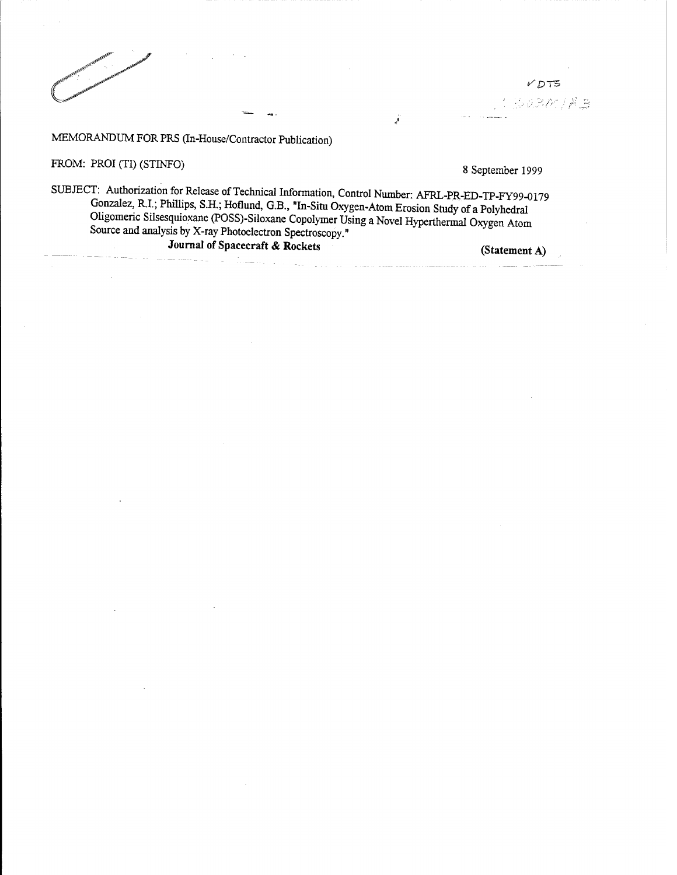$VDT5$ 

3030183

## MEMORANDUM FOR PRS (In-House/Contractor Publication)

FROM: PROI (TI) (STINFO) 8 September 1999

SUBJECT: Authorization for Release of Technical Information, Control Number: AFRL-PR-ED-TP-FY99-0179 Gonzalez, R.I.; Phillips, S.H.; Hoflund, G.B., »In-Situ Oxygen-Atom Erosion Study of a Polyhedral Ohgomenc Silsesquioxane (POSS)-Siloxane Copolymer Using a Novel Hyperthermal Oxygen Atom Source and analysis by X-ray Photoelectron Spectroscopy." JournaI of **Spacecraft & Rockets (Statement A)**

 $\mathcal{L}_{\text{max}}$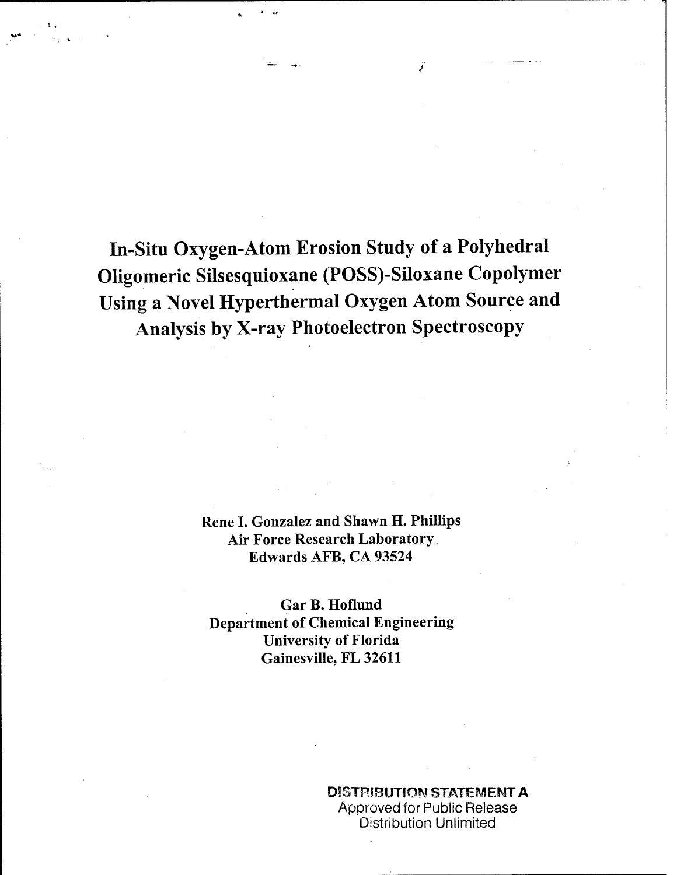In-Situ Oxygen-Atom Erosion Study of a Polyhedral Oligomeric Silsesquioxane (POSS)-Siloxane Copolymer Using a Novel Hyperthermal Oxygen Atom Source and Analysis by X-ray Photoelectron Spectroscopy

> Rene I. Gonzalez and Shawn H. Phillips Air Force Research Laboratory Edwards AFB, CA 93524

Gar B. Hoflund Department of Chemical Engineering University of Florida Gainesville, FL 32611

> DISTRIBUTION STATEMENT A Approved for Public Release Distribution Unlimited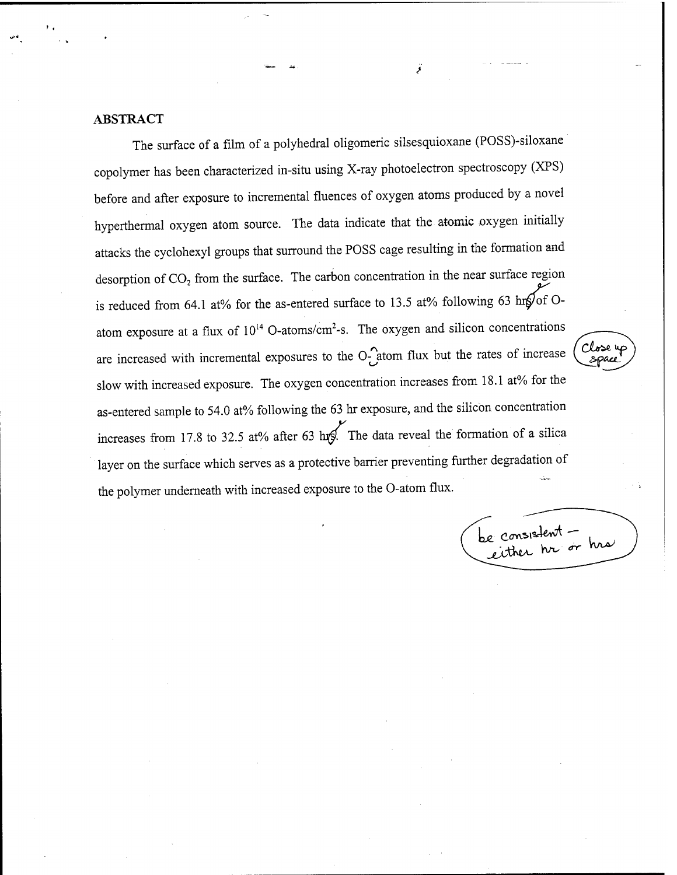### ABSTRACT

The surface of a film of a polyhedral oligomeric silsesquioxane (POSS)-siloxane copolymer has been characterized in-situ using X-ray photoelectron spectroscopy (XPS) before and after exposure to incremental fluences of oxygen atoms produced by a novel hyperthermal oxygen atom source. The data indicate that the atomic oxygen initially attacks the cyclohexyl groups that surround the POSS cage resulting in the formation and desorption of  $CO<sub>2</sub>$  from the surface. The carbon concentration in the near surface region is reduced from 64.1 at% for the as-entered surface to 13.5 at% following 63 *hifyof* Oatom exposure at a flux of  $10^{14}$  O-atoms/cm<sup>2</sup>-s. The oxygen and silicon concentrations are increased with incremental exposures to the  $O_{\bullet}^{\bullet}$  atom flux but the rates of increase slow with increased exposure. The oxygen concentration increases from 18.1 at% for the as-entered sample to 54.0 at% following the 63 hr exposure, and the silicon concentration increases from 17.8 to 32.5 at% after 63 hrs. The data reveal the formation of a silica layer on the surface which serves as a protective barrier preventing further degradation of the polymer underneath with increased exposure to the O-atom flux.

be consistent -<br>either hr or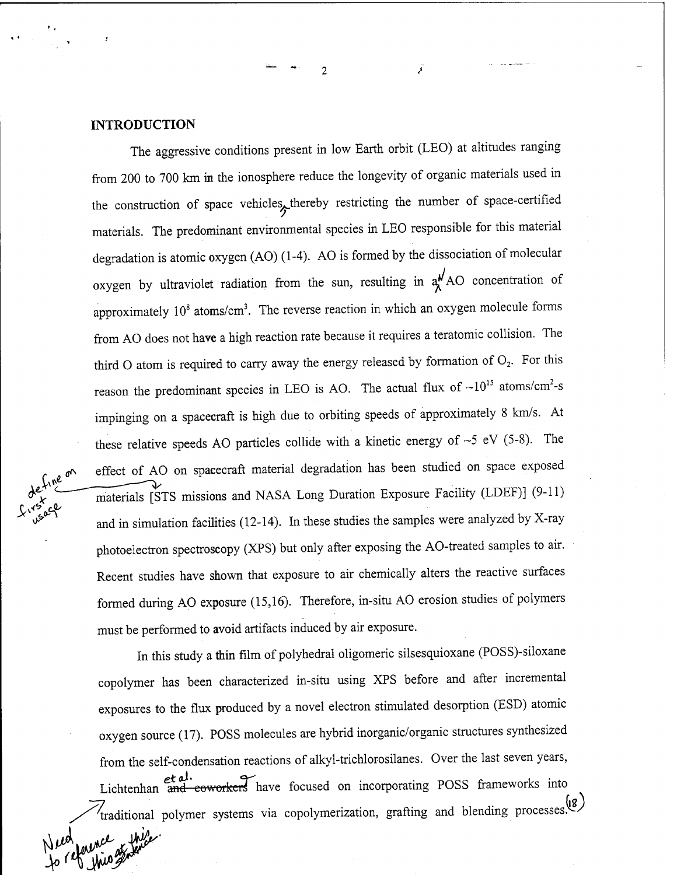### INTRODUCTION

The aggressive conditions present in low Earth orbit (LEO) at altitudes ranging from 200 to 700 km in the ionosphere reduce the longevity of organic materials used in the construction of space vehicles, thereby restricting the number of space-certified materials. The predominant environmental species in LEO responsible for this material degradation is atomic oxygen (AO) (1-4). AO is formed by the dissociation of molecular oxygen by ultraviolet radiation from the sun, resulting in  $a^{\mu}$ AO concentration of approximately  $10^8$  atoms/cm<sup>3</sup>. The reverse reaction in which an oxygen molecule forms from AO does not have a high reaction rate because it requires a teratomic collision. The third O atom is required to carry away the energy released by formation of  $O<sub>2</sub>$ . For this reason the predominant species in LEO is AO. The actual flux of  $\sim 10^{15}$  atoms/cm<sup>2</sup>-s impinging on a spacecraft is high due to orbiting speeds of approximately 8 km/s. At these relative speeds AO particles collide with a kinetic energy of  $\sim$  5 eV (5-8). The effect of AO on spacecraft material degradation has been studied on space exposed *i*  $\lambda$  *i*  $\lambda$  *materials [STS missions and NASA Long Duration Exposure Facility (LDEF)] (9-11)* and in simulation facilities (12-14). In these studies the samples were analyzed by X-ray photoelectron spectroscopy (XPS) but only after exposing the AO-treated samples to air. Recent studies have shown that exposure to air chemically alters the reactive surfaces formed during AO exposure (15,16). Therefore, in-situ AO erosion studies of polymers must be performed to avoid artifacts induced by air exposure.

 $\overline{\phantom{a}}$ 

In this study a thin film of polyhedral oligomeric silsesquioxane (POSS)-siloxane copolymer has been characterized in-situ using XPS before and after incremental exposures to the flux produced by a novel electron stimulated desorption (ESD) atomic oxygen source (17). POSS molecules are hybrid inorganic/organic structures synthesized from the self-condensation reactions of alkyl-trichlorosilanes. Over the last seven years, et al.<br>Lichtenhan and eoworkers have focused on incorporating POSS frameworks into **fraditional polymer systems via copolymerization, grafting and blending processes.<sup>(18</sup>)** fo reference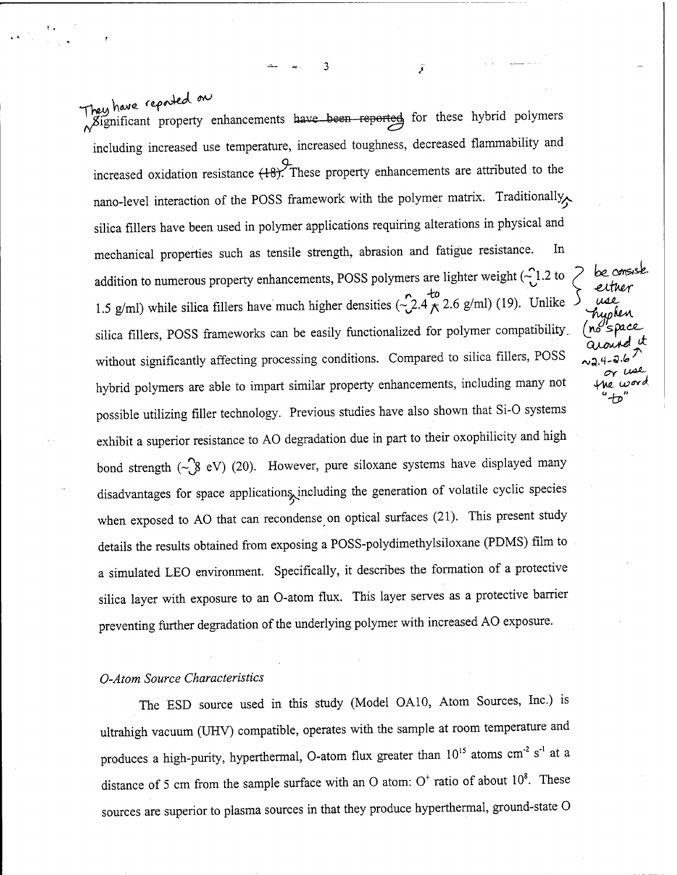They have reported on<br>Significant property enhancements have been reported, for these hybrid polymers including increased use temperature, increased toughness, decreased flammability and increased oxidation resistance  $(+8)$ . These property enhancements are attributed to the nano-level interaction of the POSS framework with the polymer matrix. Traditionally silica fillers have been used in polymer applications requiring alterations in physical and mechanical properties such as tensile strength, abrasion and fatigue resistance. In addition to numerous property enhancements, POSS polymers are lighter weight  $\left(\frac{1}{2}\right)$  2 to addition to numerous property ennancements, POSS porymers are righter weight ( $\frac{1}{2}$ .2.6 g/ml) (19). Unlike 3 *use*<br>1.5 g/ml) while silica fillers have much higher densities ( $\frac{1}{2}$ .4  $\frac{1}{2}$ , 3.6 g/ml) (19). Unli 1.5 g/ml) while silica fillers have much higher densities ( $2.4 \times 2.6$  g/ml) (19). Unlike<br>silica fillers, POSS frameworks can be easily functionalized for polymer compatibility. (no spa silica fillers, POSS frameworks can be easily functionalized for polymer compatibility<br>without significantly affecting processing conditions. Compared to silica fillers, POSS hybrid polymers are able to impart similar property enhancements, including many not possible utilizing filler technology. Previous studies have also shown that Si-0 systems exhibit a superior resistance to AO degradation due in part to their oxophilicity and high bond strength  $(\sim$ 8 eV) (20). However, pure siloxane systems have displayed many disadvantages for space applications, including the generation of volatile cyclic species when exposed to AO that can recondense on optical surfaces (21). This present study details the results obtained from exposing a POSS-polydimethylsiloxane (PDMS) film to a simulated LEO environment. Specifically, it describes the formation of a protective silica layer with exposure to an O-atom flux. This layer serves as a protective barrier preventing further degradation of the underlying polymer with increased AO exposure.

*J -tp'*

*< f-*

### *O-Atom Source Characteristics*

The ESD source used in this study (Model OA10, Atom Sources, Inc.) is ultrahigh vacuum (UHV) compatible, operates with the sample at room temperature and produces a high-purity, hyperthermal, O-atom flux greater than  $10^{15}$  atoms cm<sup>-2</sup> s<sup>-1</sup> at a distance of 5 cm from the sample surface with an O atom:  $O<sup>+</sup>$  ratio of about  $10<sup>8</sup>$ . These sources are superior to plasma sources in that they produce hyperthermal, ground-state 0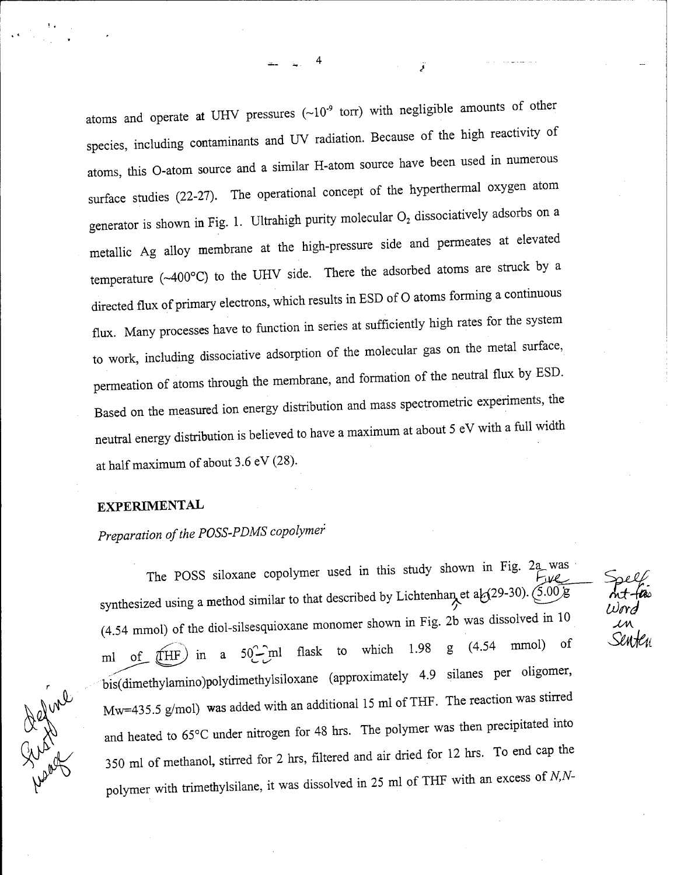atoms and operate at UHV pressures  $(-10^{-9}$  torr) with negligible amounts of other species, including contaminants and UV radiation. Because of the high reactivity of atoms, this O-atom source and a similar H-atom source have been used in numerous surface studies (22-27). The operational concept of the hyperthermal oxygen atom generator is shown in Fig. 1. Ultrahigh purity molecular  $O_2$  dissociatively adsorbs on a metallic Ag alloy membrane at the high-pressure side and permeates at elevated temperature (~400°C) to the UHV side. There the adsorbed atoms are struck by a directed flux of primary electrons, which results in ESD of O atoms forming a continuous flux. Many processes have to function in series at sufficiently high rates for the system to work, including dissociative adsorption of the molecular gas on the metal surface, permeation of atoms through the membrane, and formation of the neutral flux by ESD. Based on the measured ion energy distribution and mass spectrometric experiments, the neutral energy distribution is believed to have a maximum at about 5 eV with a full width at half maximum of about 3,6 eV (28).

### EXPERIMENTAL

# $Preparation$  *of the POSS-PDMS copolymer*

The POSS siloxane copolymer used in this study shown in Fig. 2a was synthesized using a method similar to that described by Lichtenhan et a $\frac{1}{2}(29-30)$ .  $\left(\frac{5.00}{8}\right)$ (4 54 mmol) of the diol-silsesquioxane monomer shown in Fig. 2b was dissolved in 10 ml of  $\widehat{H}$  a 50<sup>2</sup>  $\widehat{H}$  ml flask to which 1.98 g (4.54 mmol) of bis(dimethylamino)polydimethylsiloxane (approximately 4.9 silanes per oligomer, Mw=435.5 g/mol) was added with an additional 15 ml of THF. The reaction was stirred and heated to 65°C under nitrogen for 48 hrs. The polymer was then precipitated into 350 ml of methanol, stirred for 2 hrs, filtered and air dried for 12 hrs. To end cap the polymer with trimethylsilane, it was dissolved in 25 ml of THF with an excess of  $N$ , $N$ -

Refund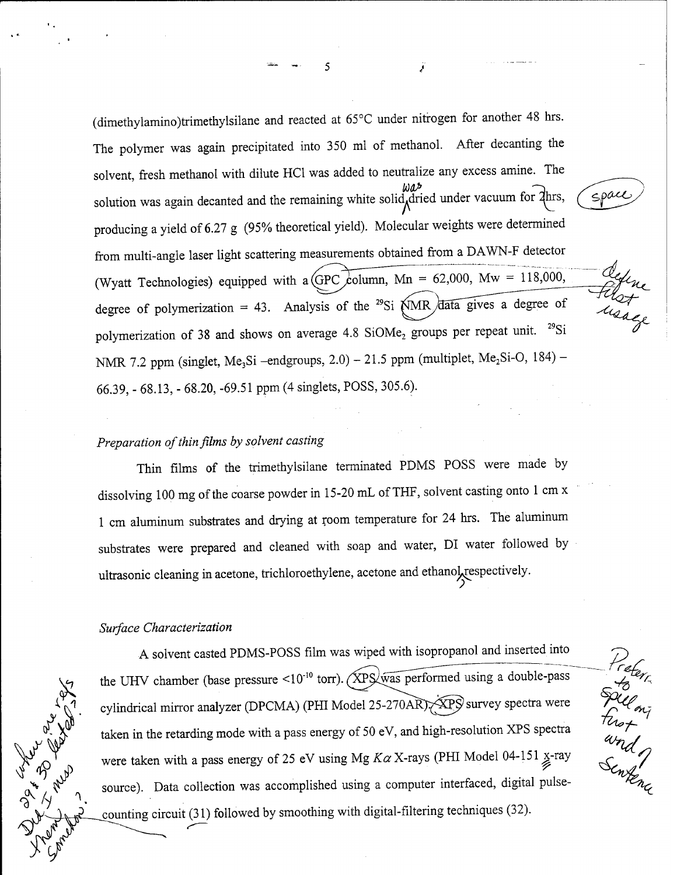(dimethylamino)trimethylsüane and reacted at 65°C under nitrogen for another 48 hrs. The polymer was again precipitated into 350 ml of methanol. After decanting the solvent, fresh methanol with dilute HC1 was added to neutralize any excess amine. The solution was again decanted and the remaining white solid, dried under vacuum for  $\chi$ hrs, producing a yield of 6.27 g (95% theoretical yield). Molecular weights were determined from multi-angle laser light scattering measurements obtained from a DAWN-F detector (Wyatt Technologies) equipped with a (GPC column, Mn = 62,000, Mw = 118,000, degree of polymerization = 43. Analysis of the <sup>29</sup>Si  $\widehat{NMR}$  data gives a degree of polymerization of 38 and shows on average 4.8 SiOMe<sub>2</sub> groups per repeat unit.  $^{29}Si$ NMR 7.2 ppm (singlet, Me<sub>3</sub>Si -endgroups, 2.0) - 21.5 ppm (multiplet, Me<sub>2</sub>Si-O, 184) -66.39, - 68.13, - 68.20, -69.51 ppm (4 singlets, POSS, 305.6).

# *Preparation of thin films by solvent casting*

Thin films of the trimethylsilane terminated PDMS POSS were made by dissolving 100 mg of the coarse powder in 15-20 mL of THF, solvent casting onto 1 cm x <sup>1</sup> cm aluminum substrates and drying at room temperature for 24 hrs. The aluminum substrates were prepared and cleaned with soap and water, DI water followed by ultrasonic cleaning in acetone, trichloroethylene, acetone and ethanolyespectively.

### *Surface Characterization*

**&**  $\mathcal{L}^{\mathcal{A}}_{\Lambda}$ *&* **<f/y**

A solvent casted PDMS-POSS film was wiped with isopropanol and inserted into the UHV chamber (base pressure <10<sup>-10</sup> torr). (XPS was performed using a double-pass cylindrical mirror analyzer (DPCMA) (PHI Model 25-270AR). APS survey spectra were taken in the retarding mode with a pass energy of 50 eV, and high-resolution XPS spectra were taken with a pass energy of 25 eV using Mg  $K\alpha$  X-rays (PHI Model 04-151  $\underset{\mathscr{L}}{\times}$ -ray source). Data collection was accomplished using a computer interfaced, digital pulsecounting circuit (31) followed by smoothing with digital-filtering techniques (32).

Keteri<br>Fried on Theory<br>Senten

space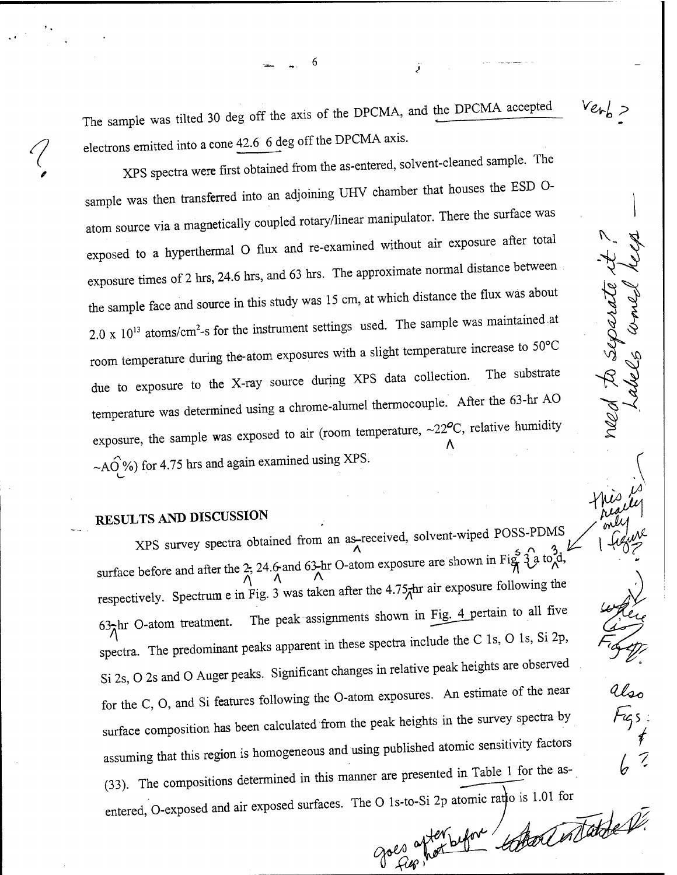The sample was tilted 30 deg off the axis of the DPCMA, and the DPCMA accepted electrons emitted into a cone 42.6 6 deg off the DPCMA axis.

6

 $Ve$ <sup> $\sim$ </sup>

*4?*

need to separate it

*hki.*

V

*i*

XPS spectra were first obtained from the as-entered, solvent-cleaned sample. The sample was then transferred into an adjoining UHV chamber that houses the ESD 0 atom source via a magnetically coupled rotary/linear manipulator. There the surface was exposed to a hyperthermal O flux and re-examined without air exposure after total exposure times of 2 hrs, 24.6 hrs, and 63 hrs. The approximate normal distance between the sample face and source in this study was 15 cm, at which distance the flux was about  $2.0 \times 10^{13}$  atoms/cm<sup>2</sup>-s for the instrument settings used. The sample was maintained at room temperature during the-atom exposures with a slight temperature increase to  $50^{\circ}$ C due to exposure to the X-ray source during XPS data collection. The substrate temperature was determined using a chrome-alumel thermocouple. After the 63-hr AO exposure, the sample was exposed to air (room temperature,  $\sim$ 22°C, relative humidity ~AO %) for 4.75 hrs and again examined using XPS.

# RESULTS AND DISCUSSION

XPS survey spectra obtained from an as-received, solvent-wiped POSS-PDMS surface before and after the 2, 24.6 and 63-hr O-atom exposure are shown in Fig.  $\hat{f}$   $\hat{f}$  a to  $\hat{d}$ ,  $\hat{f}$ , respectively. Spectrum e in Fig. 3 was taken after the  $4.75$ <sub> $\pi$ </sub>hr air exposure following the  $63\pi$ hr O-atom treatment. The peak assignments shown in Fig. 4 pertain to all five spectra. The predominant peaks apparent in these spectra include the C Is, O Is, Si 2p, Si 2s, O 2s and O Auger peaks. Significant changes in relative peak heights are observed for the C, O, and Si features following the O-atom exposures. An estimate of the near surface composition has been calculated from the peak heights in the survey spectra by assuming that this region is homogeneous and using published atomic sensitivity factors (33). The compositions determined in this manner are presented in Table 1 for the asentered, O-exposed and air exposed surfaces. The O 1s-to-Si 2p atomic ratio is 1.01 for goes afterbefor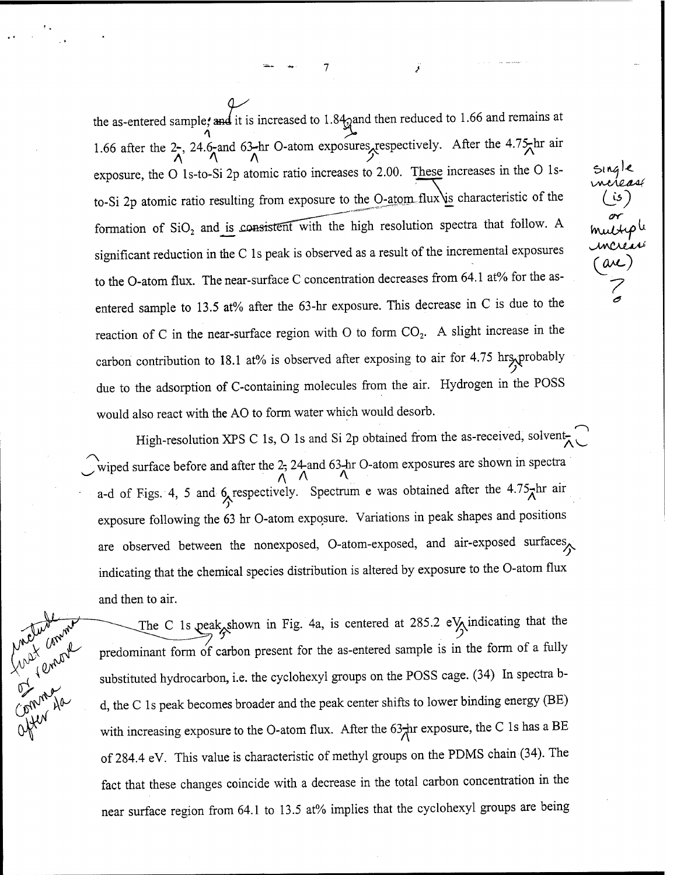the as-entered sample, and it is increased to 1.84 $q$ and then reduced to 1.66 and remains at 1.66 after the 2-, 24.6-and 63-hr O-atom exposures, respectively. After the 4.75 hr air  $\lambda$   $\lambda$   $\lambda$   $\lambda$   $\lambda$ exposure, the O ls-to-Si 2p atomic ratio increases to 2.00. These increases in the 0 lsto-Si 2p atomic ratio resulting from exposure to the  $O$ -atom flux is characteristic of the formation of  $SiO<sub>2</sub>$  and is consistent with the high resolution spectra that follow. A significant reduction in the C 1s peak is observed as a result of the incremental exposures to the O-atom flux. The near-surface C concentration decreases from 64.1 at% for the asentered sample to 13.5 at% after the 63-hr exposure. This decrease in C is due to the reaction of C in the near-surface region with O to form  $CO<sub>2</sub>$ . A slight increase in the carbon contribution to 18.1 at% is observed after exposing to air for 4.75 hrs, probably due to the adsorption of C-containing molecules from the air. Hydrogen in the POSS would also react with the AO to form water which would desorb.

**U**

*(so crr*

*(OMS)*

*7 a*

High-resolution XPS C 1s, O 1s and Si 2p obtained from the as-received, solvent *s~\*wiped surface before and after the 2- 24-and 63-hr O-atom exposures are shown in spectra *(\* A A a-d of Figs. 4, 5 and 6 respectively. Spectrum e was obtained after the 4.75<sup>th</sup> air exposure following the 63 hr O-atom exposure. Variations in peak shapes and positions are observed between the nonexposed, O-atom-exposed, and air-exposed surfaces indicating that the chemical species distribution is altered by exposure to the O-atom flux and then to air.

**Max** Compton

The C 1s peak shown in Fig. 4a, is centered at 285.2 e $\sqrt{\ }$  indicating that the predominant form of carbon present for the as-entered sample is in the form of a fully substituted hydrocarbon, i.e. the cyclohexyl groups on the POSS cage. (34) In spectra bd, the C Is peak becomes broader and the peak center shifts to lower binding energy (BE) with increasing exposure to the O-atom flux. After the  $63<sub>7</sub>hr$  exposure, the C 1s has a BE of 284.4 eV. This value is characteristic of methyl groups on the PDMS chain (34). The fact that these changes coincide with a decrease in the total carbon concentration in the near surface region from 64.1 to 13.5 at% implies that the cyclohexyl groups are being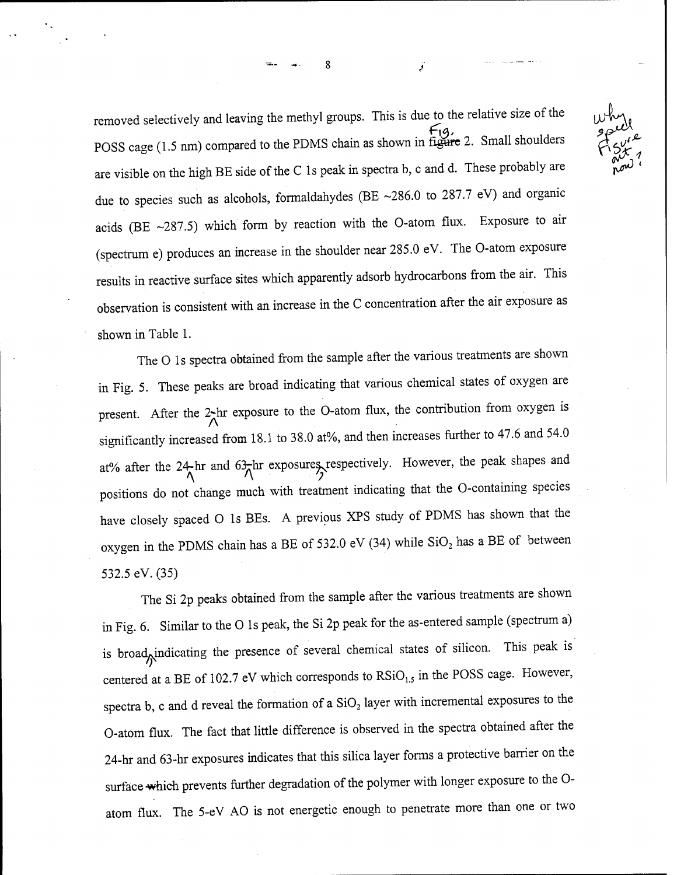removed selectively and leaving the methyl groups. This is due to the relative size of the *^Ju* POSS cage (1.5 nm) compared to the PDMS chain as shown in figure 2. Small shoulders are visible on the high BE side of the C 1s peak in spectra b, c and d. These probably are due to species such as alcohols, formaldahydes (BE  $\sim$ 286.0 to 287.7 eV) and organic acids (BE  $\sim$ 287.5) which form by reaction with the O-atom flux. Exposure to air (spectrum e) produces an increase in the shoulder near 285.0 eV. The O-atom exposure results in reactive surface sites which apparently adsorb hydrocarbons from the air. This observation is consistent with an increase in the C concentration after the air exposure as shown in Table 1.

ጸ

The O Is spectra obtained from the sample after the various treatments are shown in Fig. 5. These peaks are broad indicating that various chemical states of oxygen are present. After the 2-hr exposure to the O-atom flux, the contribution from oxygen is significantly increased from 18.1 to 38.0 at%, and then increases further to 47.6 and 54.0 at% after the 24-hr and 63-hr exposures respectively. However, the peak shapes and  $\Lambda$ positions do not change much with treatment indicating that the O-containing species have closely spaced O Is BEs. A previous XPS study of PDMS has shown that the oxygen in the PDMS chain has a BE of 532.0 eV (34) while  $SiO<sub>2</sub>$  has a BE of between 532.5 eV. (35)

The Si 2p peaks obtained from the sample after the various treatments are shown in Fig. 6. Similar to the O Is peak, the Si 2p peak for the as-entered sample (spectrum a) is broad<sub>M</sub>indicating the presence of several chemical states of silicon. This peak is centered at a BE of 102.7 eV which corresponds to  $\text{RSiO}_{1.5}$  in the POSS cage. However, spectra b, c and d reveal the formation of a  $SiO<sub>2</sub>$  layer with incremental exposures to the O-atom flux. The fact that little difference is observed in the spectra obtained after the 24-hr and 63-hr exposures indicates that this silica layer forms a protective barrier on the surface which prevents further degradation of the polymer with longer exposure to the Oatom flux. The 5-eV AO is not energetic enough to penetrate more than one or two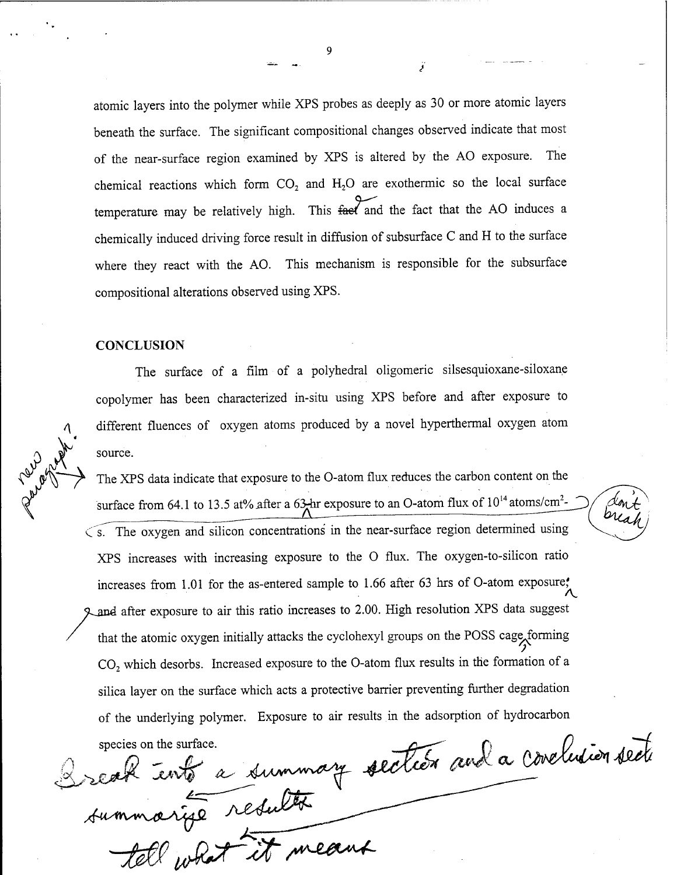atomic layers into the polymer while XPS probes as deeply as 30 or more atomic layers beneath the surface. The significant compositional changes observed indicate that most of the near-surface region examined by XPS is altered by the AO exposure. The chemical reactions which form  $CO<sub>2</sub>$  and  $H<sub>2</sub>O$  are exothermic so the local surface temperature may be relatively high. This  $\overleftarrow{f}$  and the fact that the AO induces a chemically induced driving force result in diffusion of subsurface C and H to the surface where they react with the AO. This mechanism is responsible for the subsurface compositional alterations observed using XPS.

### **CONCLUSION**

The surface of a film of a polyhedral oligomeric silsesquioxane-siloxane copolymer has been characterized in-situ using XPS before and after exposure to different fluences of oxygen atoms produced by a novel hyperthermal oxygen atom source.

The XPS data indicate that exposure to the O-atom flux reduces the carbon content on the surface from 64.1 to 13.5 at% after a 63 hr exposure to an O-atom flux of  $10^{14}$  atoms/cm<sup>2</sup>-*L***<sub>S</sub>**<br><u>*L*<sub>S</sub></del><br> *L***<sub>S</sub></del><br>
<b>**<br> </u>  $\zeta$ . The oxygen and silicon concentrations in the near-surface region determined using XPS increases with increasing exposure to the O flux. The oxygen-to-silicon ratio increases from 1.01 for the as-entered sample to 1.66 after 63 hrs of O-atom exposure,' **A.** 9^and after exposure to air this ratio increases to 2.00. High resolution XPS data suggest that the atomic oxygen initially attacks the cyclohexyl groups on the POSS cage forming  $CO<sub>2</sub>$  which desorbs. Increased exposure to the O-atom flux results in the formation of a silica layer on the surface which acts a protective barrier preventing further degradation of the underlying polymer. Exposure to air results in the adsorption of hydrocarbon

species on the surface.<br>B = 155 a disminary section and a conclusion section

*<sup>7</sup> / yjtf-jfc /^^^f~*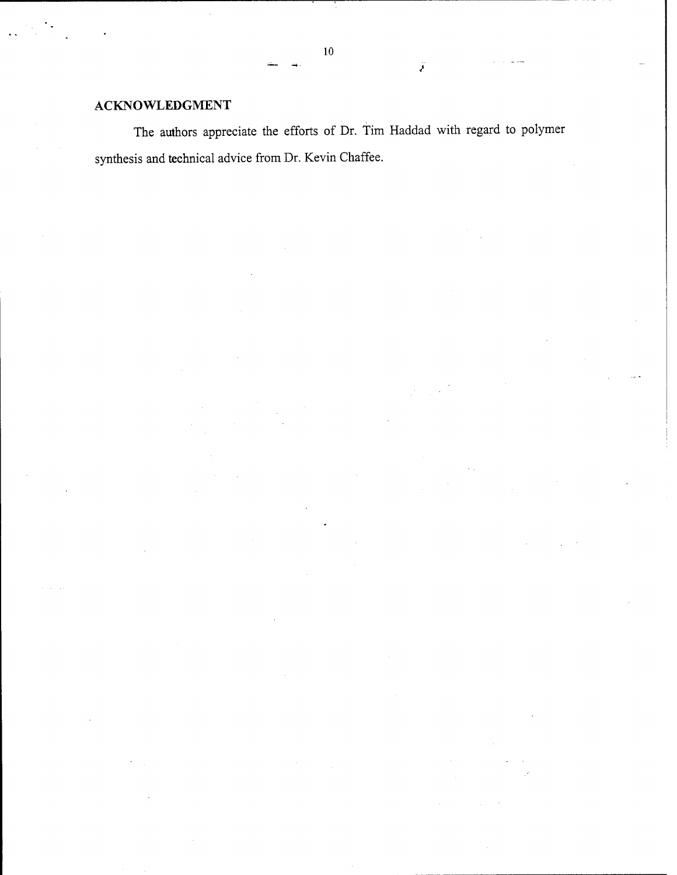# **ACKNOWLEDGMENT**

The authors appreciate the efforts of Dr. Tim Haddad with regard to polymer synthesis and technical advice from Dr. Kevin Chaffee.

**10**

ÿ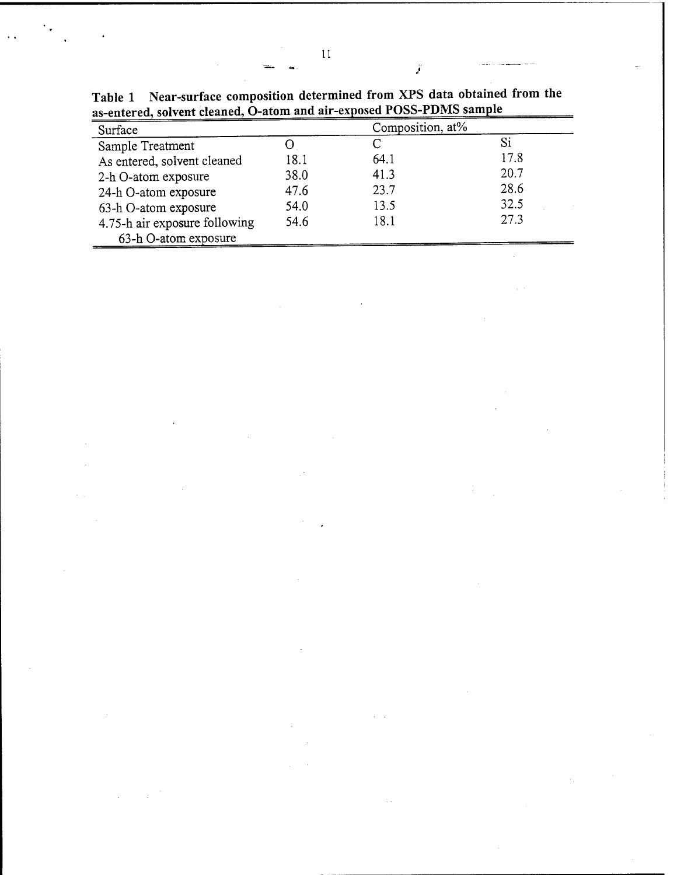| Surface                       |      | Composition, at% |      |  |
|-------------------------------|------|------------------|------|--|
| Sample Treatment              |      |                  | Si   |  |
| As entered, solvent cleaned   | 18.1 | 64.1             | 17.8 |  |
| 2-h O-atom exposure           | 38.0 | 41.3             | 20.7 |  |
| 24-h O-atom exposure          | 47.6 | 23.7             | 28.6 |  |
| 63-h O-atom exposure          | 54.0 | 13.5             | 32.5 |  |
| 4.75-h air exposure following | 54.6 | 18.1             | 27.3 |  |
| 63-h O-atom exposure          |      |                  |      |  |

 $\mathcal{L}$ 

**Table 1 Near-surface composition determined from XPS data obtained from the as-entered, solvent cleaned, O-atom and air-exposed POSS-PDMS sample**

Ï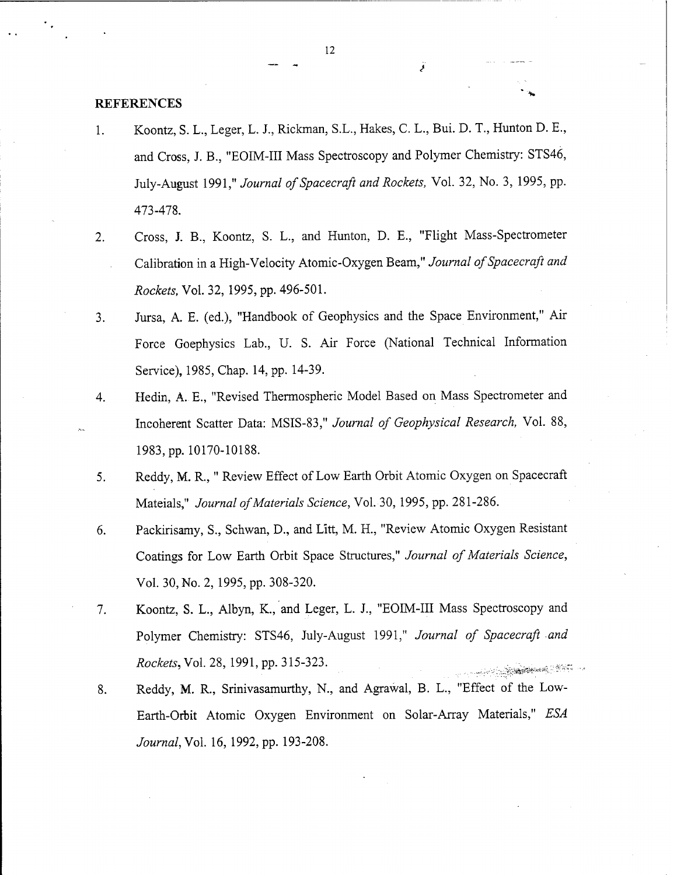### REFERENCES

- 1. Koontz, S. L., Leger, L. J., Rickman, S.L., Hakes, C. L., Bui. D. T., Hunton D. E., and Cross, J. B., "EOIM-III Mass Spectroscopy and Polymer Chemistry: STS46, July-August 1991," *Journal of Spacecraft and Rockets*, Vol. 32, No. 3, 1995, pp. 473-478.
- 2. Cross, J. B., Koontz, S. L., and Hunton, D. E., "Flight Mass-Spectrometer Calibration in a High-Velocity Atomic-Oxygen Beam," *Journal of Spacecraft and Rockets,* Vol. 32, 1995, pp. 496-501.
- 3. Jursa, A. E. (ed.), "Handbook of Geophysics and the Space Environment," Air Force Goephysics Lab., U. S. Air Force (National Technical Information Service), 1985, Chap. 14, pp. 14-39.
- 4. Hedin, A. E., "Revised Thermospheric Model Based on Mass Spectrometer and Incoherent Scatter Data: MSIS-83," *Journal of Geophysical Research,* Vol. 88, 1983, pp.10170-10188.
- 5. Reddy, M. R," Review Effect of Low Earth Orbit Atomic Oxygen on Spacecraft Mateials," *Journal ofMaterials Science,* Vol. 30, 1995, pp. 281-286.
- 6. Packirisamy, S., Schwan, D., and Litt, M. H., "Review Atomic Oxygen Resistant Coatings for Low Earth Orbit Space Structures," *Journal of Materials Science,* Vol. 30, No. 2, 1995, pp. 308-320.
- 7. Koontz, S. L., Albyn, K., and Leger, L. J., "EOIM-III Mass Spectroscopy and Polymer Chemistry: STS46, July-August 1991," *Journal of Spacecraft and Rockets,Vol.* 28, 1991, pp. 315-323. *......*
- 8. Reddy, M. R., Srinivasamurthy, N., and Agrawal, B. L., "Effect of the Low-Earth-Orbit Atomic Oxygen Environment on Solar-Array Materials," *ESA Journal,Vo\.* 16, 1992, pp. 193-208.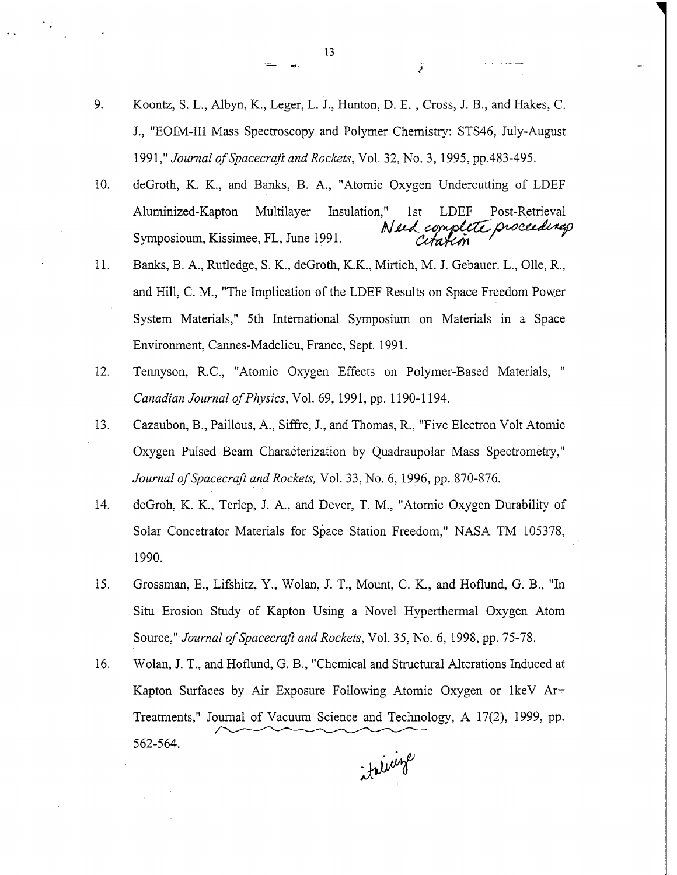- 9. Koontz, S. L., Albyn, K., Leger, L. J., Hunton, D. E. , Cross, J. B., and Hakes, C. J., "EOIM-III Mass Spectroscopy and Polymer Chemistry: STS46, July-August 1991," *Journal ofSpacecraft and Rockets,* Vol. 32, No. 3, 1995, pp.483-495.
- 10. deGroth, K. K., and Banks, B. A., "Atomic Oxygen Undercutting of LDEF Aluminized-Kapton Multilayer Insulation," 1st LDEF Post-Retrieval<br>Symposioum, Kissimee, FL, June 1991. (*Umplete proceedines*) Symposioum, Kissimee, FL, June 1991.
- 11. Banks, B. A., Rutledge, S. K., deGroth, K.K., Mirtich, M. J. Gebauer. L., Olle, R., and Hill, C. M., "The Implication of the LDEF Results on Space Freedom Power System Materials," 5th International Symposium on Materials in a Space Environment, Cannes-Madelieu, France, Sept. 1991.
- 12. Tennyson, R.C., "Atomic Oxygen Effects on Polymer-Based Materials, " *Canadian Journal ofPhysics,* Vol. 69, 1991, pp. 1190-1194.
- 13. Cazaubon, B., Paillous, A., Siffre, J., and Thomas, R., "Five Electron Volt Atomic Oxygen Pulsed Beam Characterization by Quadraupolar Mass Spectrometry," *Journal ofSpacecraft and Rockets,* Vol. 33, No. 6, 1996, pp. 870-876.
- 14. deGroh, K. K., Terlep, J. A., and Dever, T. M., "Atomic Oxygen Durability of Solar Concetrator Materials for Space Station Freedom," NASA TM 105378, 1990.
- 15. Grossman, E., Lifshitz, Y., Wolan, J. T., Mount, C. K., and Hoflund, G. B., "In Situ Erosion Study of Kapton Using a Novel Hyperthermal Oxygen Atom Source," Journal of Spacecraft and Rockets, Vol. 35, No. 6, 1998, pp. 75-78.
- 16. Wolan, J. T., and Hoflund, G. B., "Chemical and Structural Alterations Induced at Kapton Surfaces by Air Exposure Following Atomic Oxygen or IkeV Ar+ Treatments," Journal of Vacuum Science and Technology, A 17(2), 1999, pp. 562-564.

*jMf*

**13**

تحج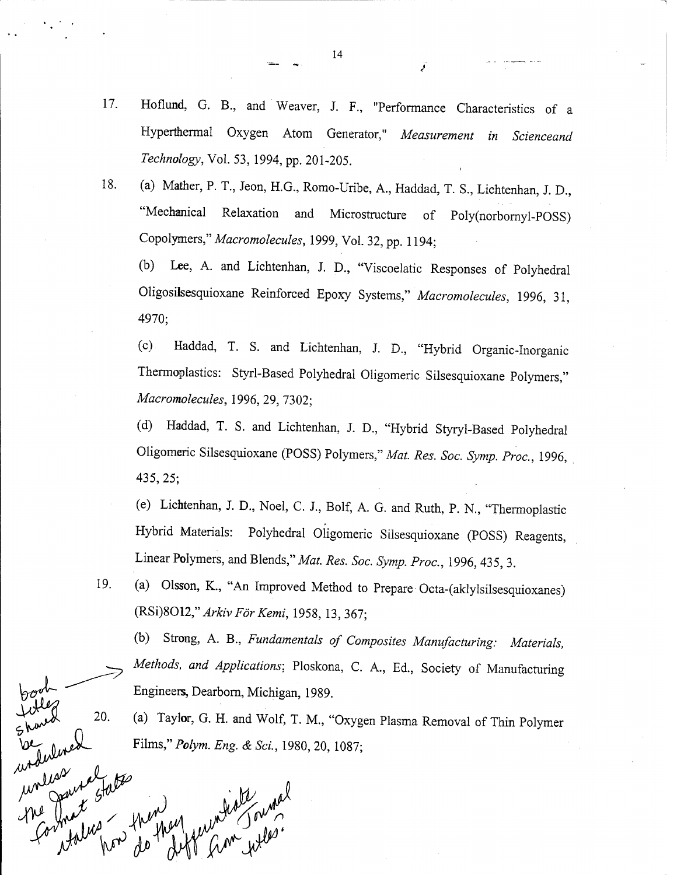- 17. Hoflund, G. B., and Weaver, J. F., "Performance Characteristics of a Hyperthermal Oxygen Atom Generator," *Measurement in Scienceand Technology,* Vol. 53, 1994, pp. 201-205.
- 18. (a) Mather, P. T., Jeon, H.G., Romo-Uribe, A., Haddad, T. S., Lichtenhan, J. D., "Mechanical Relaxation and Microstructure of Poly(norbornyl-POSS) Copolymers," *Macromolecules,* 1999, Vol. 32, pp. 1194;

(b) Lee, A. and Lichtenhan, J. D., "Viscoelatic Responses of Polyhedral Oligosilsesquioxane Reinforced Epoxy Systems," *Macromolecules,* 1996, 31, 4970;

(c) Haddad, T. S. and Lichtenhan, J. D., "Hybrid Organic-Inorganic Thermoplastics: Styrl-Based Polyhedral Oligomeric Silsesquioxane Polymers," *Macromolecules,* 1996, 29, 7302;

(d) Haddad, T. S. and Lichtenhan, J. D., "Hybrid Styryl-Based Polyhedral Oligomeric Silsesquioxane (POSS) Polymers," *Mat. Res. Soc. Symp. Proc,* 1996, 435, 25;

(e) Lichtenhan, J. D, Noel, C. J., Bolf, A. G. and Ruth, P. N., "Thermoplastic Hybrid Materials: Polyhedral Oligomeric Silsesquioxane (POSS) Reagents, Linear Polymers, and Blends," *Mat. Res. Soc. Symp. Proc,* 1996, 435, 3.

19. (a) Olsson, K., "An Improved Method to Prepare Octa-(aklylsilsesquioxanes) *(RSißOU," Arkiv For Kemi,* 1958, 13, 367;

(b) Strong, A. B., *Fundamentals of Composites Manufacturing: Materials, ^ Methods, and Applications;* Ploskona, C. A., Ed., Society of Manufacturing Engineers, Dearborn, Michigan, 1989.

(a) Taylor, G. H. and Wolf, T. M., "Oxygen Plasma Removal of Thin Polymer Films," *Polym. Eng & Sei,* 1980, 20, 1087;

was mal Frey france what

20.

naunas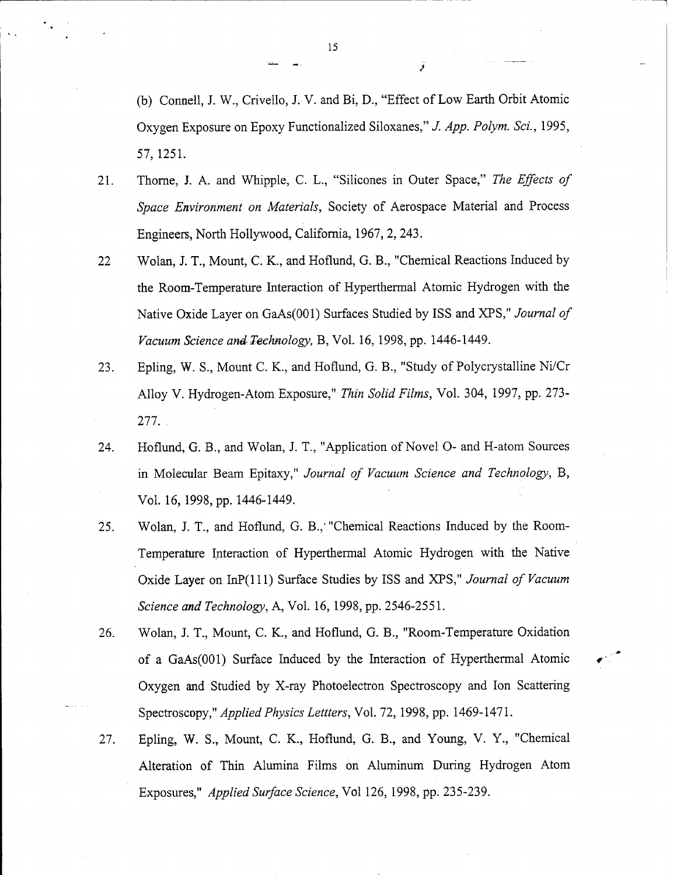(b) Cornell, J. W., Crivello, J. V. and Bi, D., "Effect of Low Earth Orbit Atomic Oxygen Exposure on Epoxy Functionalized Siloxanes," *J. App. Polym. Sei.,* 1995, 57, 1251.

- 21. Thorne, J. A. and Whipple, C. L., "Silicones in Outer Space," *The Effects of Space Environment on Materials,* Society of Aerospace Material and Process Engineers, North Hollywood, California, 1967, 2, 243.
- 22 Wolan, J. T., Mount, C. K., and Hoflund, G. B., "Chemical Reactions Induced by the Room-Temperature Interaction of Hyperthermal Atomic Hydrogen with the Native Oxide Layer on GaAs(OOl) Surfaces Studied by ISS and XPS," *Journal of Vacuum Science and Technology,* B, Vol. 16, 1998, pp. 1446-1449.
- 23. Epling, W. S., Mount C. K., and Hoflund, G. B., "Study of Polycrystalline Ni/Cr Alloy V. Hydrogen-Atom Exposure," *Thin Solid Films,* Vol. 304, 1997, pp. 273- 277. .
- 24. Hoflund, G. B., and Wolan, J. T., "Application of Novel O- and H-atom Sources in Molecular Beam Epitaxy," *Journal of Vacuum Science and Technology,* B, Vol. 16,1998, pp. 1446-1449.
- 25. Wolan, J. T., and Hoflund, G. B.,'"Chemical Reactions Induced by the Room-Temperature Interaction of Hyperthermal Atomic Hydrogen with the Native Oxide Layer on InP(lll) Surface Studies by ISS and XPS," *Journal of Vacuum Science and Technology,* A, Vol. 16, 1998, pp. 2546-2551.
- 26. Wolan, J. T., Mount, C. K., and Hoflund, G. B., "Room-Temperature Oxidation of a GaAs(OOl) Surface Induced by the Interaction of Hyperthermal Atomic Oxygen and Studied by X-ray Photoelectron Spectroscopy and Ion Scattering Spectroscopy," *Applied Physics Lettters,* Vol. 72, 1998, pp. 1469-1471.
- 27. Epling, W. S., Mount, C. K., Hoflund, G. B., and Young, V. Y., "Chemical Alteration of Thin Alumina Films on Aluminum During Hydrogen Atom Exposures," *Applied Surface Science,* Vol 126, 1998, pp. 235-239.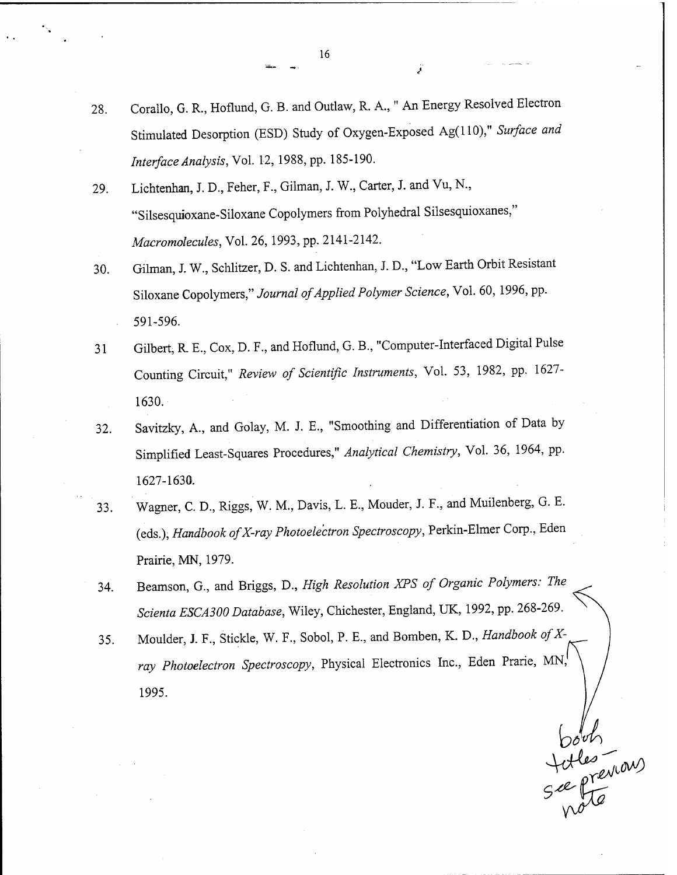- 28. Corallo, G. R., Hoflund, G. B. and Outlaw, R. A.," An Energy Resolved Electron Stimulated Desorption (ESD) Study of Oxygen-Exposed Ag(llO)," *Surface and Interface Analysis,* Vol. 12, 1988, pp. 185-190.
- 29. Lichtenhan, J. D., Feher, F., Gilman, J. W., Carter, J. and Vu, N., "Silsesquioxane-Siloxane Copolymers from Polyhedral Silsesquioxanes," *Macromolecules,* Vol. 26,1993, pp. 2141-2142.
- 30. Gilman, J. W., Schlitzer, D. S. and Lichtenhan, J. D., "Low Earth Orbit Resistant Siloxane Copolymers," Journal of Applied Polymer Science, Vol. 60, 1996, pp. 591-596.
- 31 Gilbert, R E., Cox, D. F., and Hoflund, G. B., "Computer-Interfaced Digital Pulse Counting Circuit," *Review of Scientific Instruments,* Vol. 53, 1982, pp. 1627- 1630.
- 32. Savitzky, A., and Golay, M. J. E., "Smoothing and Differentiation of Data by Simplified Least-Squares Procedures," *Analytical Chemistry,* Vol. 36, 1964, pp. 1627-1630.
- 33. Wagner, C. D., Riggs, W. M., Davis, L. E., Mouder, J. F., and Muilenberg, G. E. (eds.), *Handbook ofX-ray Photoelectron Spectroscopy,* Perkin-Elmer Corp., Eden Prairie, MN, 1979.
- 34. Beamson, G., and Briggs, D., *High Resolution XPS of Organic Polymers: The Scienta ESCA300 Database,* Wiley, Chichester, England, UK, 1992, pp. 268-269.
- 35. Moulder, J. F., Stickle, W. F., Sobol, P. E., and Bomben, K. D., *Handbook ofX*ray Photoelectron Spectroscopy, Physical Electronics Inc., Eden Prarie, MN, 1995.

Dour<br>Jules (WOW)

**16**

ÿ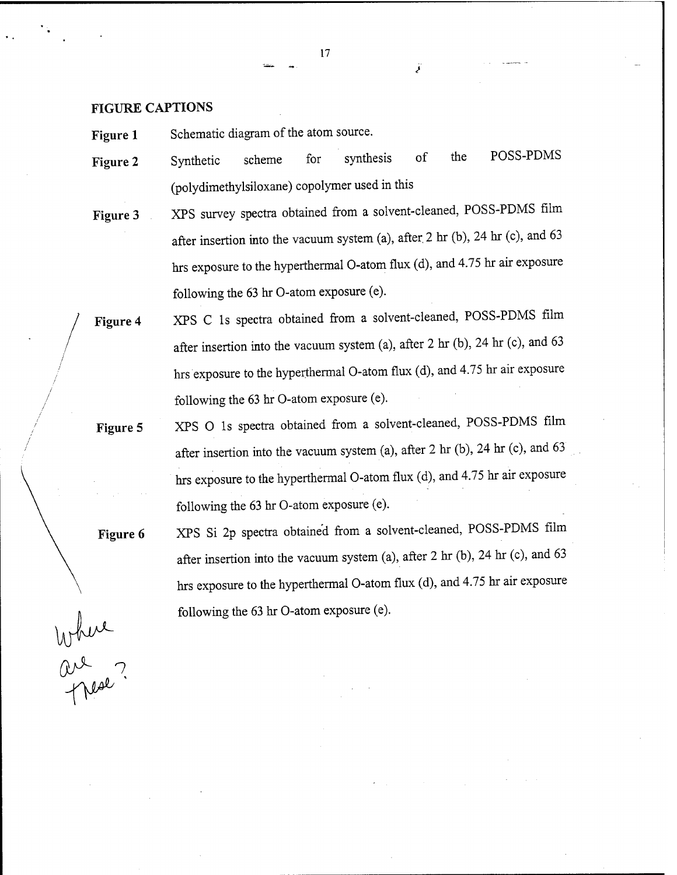**FIGURE CAPTIONS**

**Figure 1** Schematic diagram of the atom source.

- the POSS-PDMS **Figure** 2 Synthetic scheme for synthesis of (polydimethylsiloxane) copolymer used in this
- **Figure** 3 XPS survey spectra obtained from a solvent-cleaned, POSS-PDMS film after insertion into the vacuum system (a), after. 2 hr (b), 24 hr (c), and 63 hrs exposure to the hyperthermal O-atom flux (d), and 4.75 hr air exposure following the 63 hr O-atom exposure (e).
- **Figure 4** XPS C Is spectra obtained from a solvent-cleaned, POSS-PDMS film after insertion into the vacuum system (a), after 2 hr (b), 24 hr (c), and 63 hrs exposure to the hyperthermal O-atom flux (d), and 4.75 hr air exposure following the 63 hr O-atom exposure (e).
- **Figure** 5 XPS O Is spectra obtained from a solvent-cleaned, POSS-PDMS film after insertion into the vacuum system (a), after 2 hr (b), 24 hr (c), and 63 hrs exposure to the hyperthermal O-atom flux (d), and 4.75 hr air exposure following the 63 hr O-atom exposure (e).

**Figure 6** XPS Si 2p spectra obtained from a solvent-cleaned, POSS-PDMS film after insertion into the vacuum system (a), after 2 hr (b), 24 hr (c), and 63 hrs exposure to the hyperthermal O-atom flux (d), and 4.75 hr air exposure following the 63 hr O-atom exposure (e).

Where ?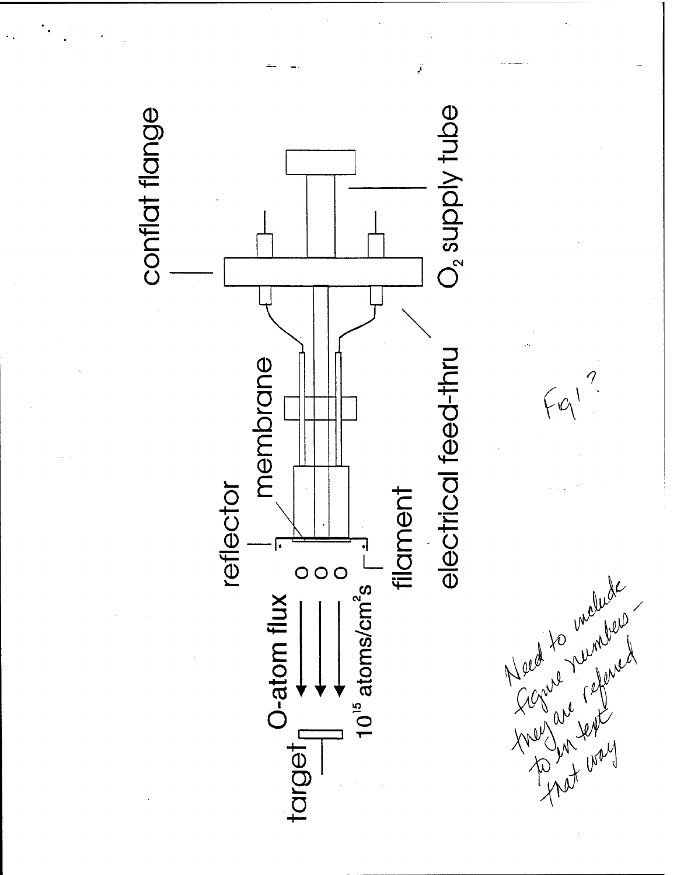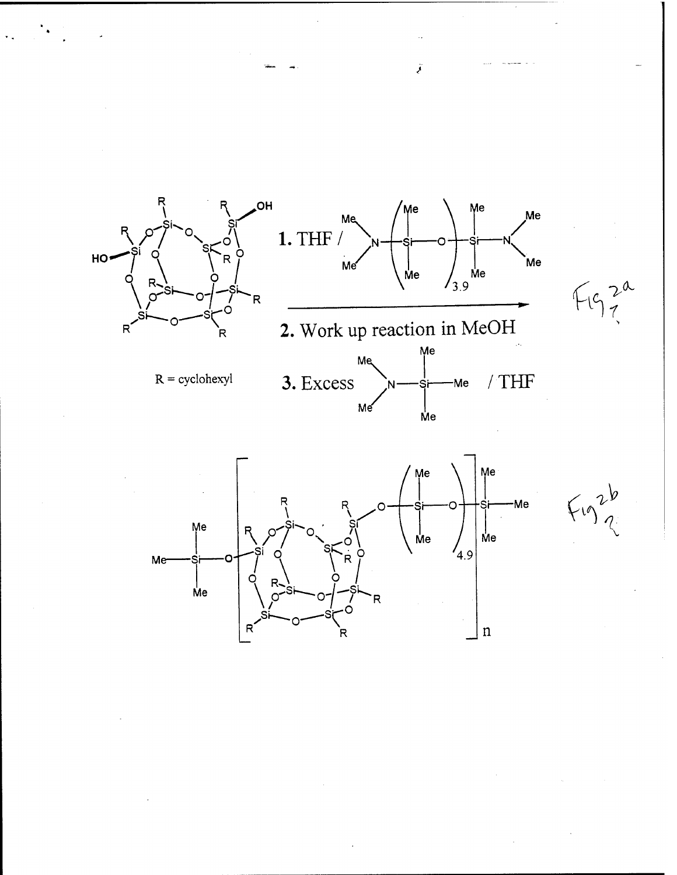

Me

 $\mathsf{\mathring{M}}\mathsf{e}$ 

 $F_{10}$ 



ÿ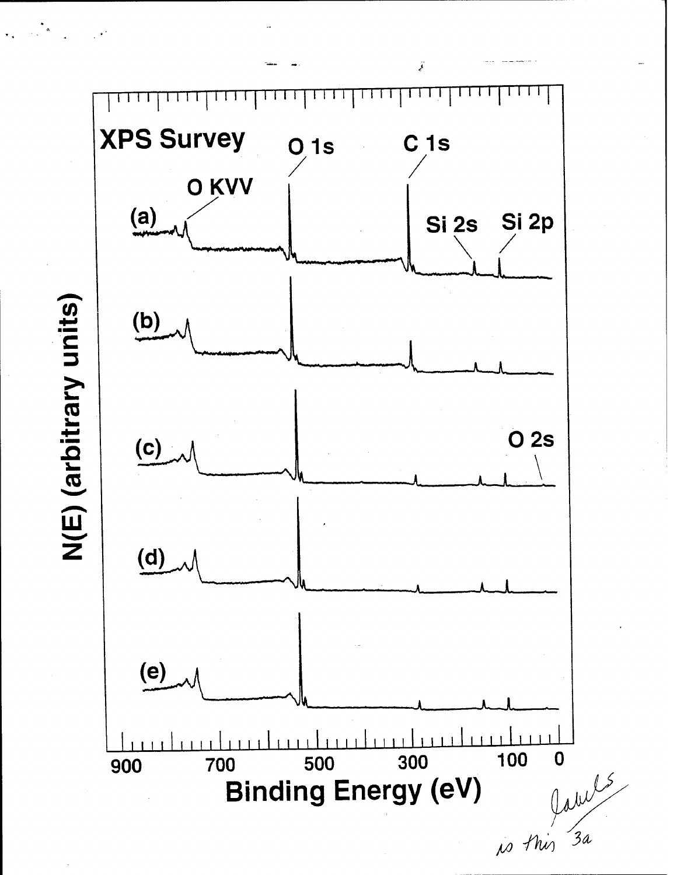ÿ **XPS Survey**  $C<sub>1s</sub>$  $O$ <sub>1s</sub> O KVV  $(a)$ Si 2p Si 2s  $(b)$ O 2s  $(c)$  $\underline{\text{(d)}}$  $(e)$ 1 1 1 1 1  $1111$ 100 300 labels  $\boldsymbol{0}$ 500 700 900 **Binding Energy (eV)** 

# N(E) (arbitrary units)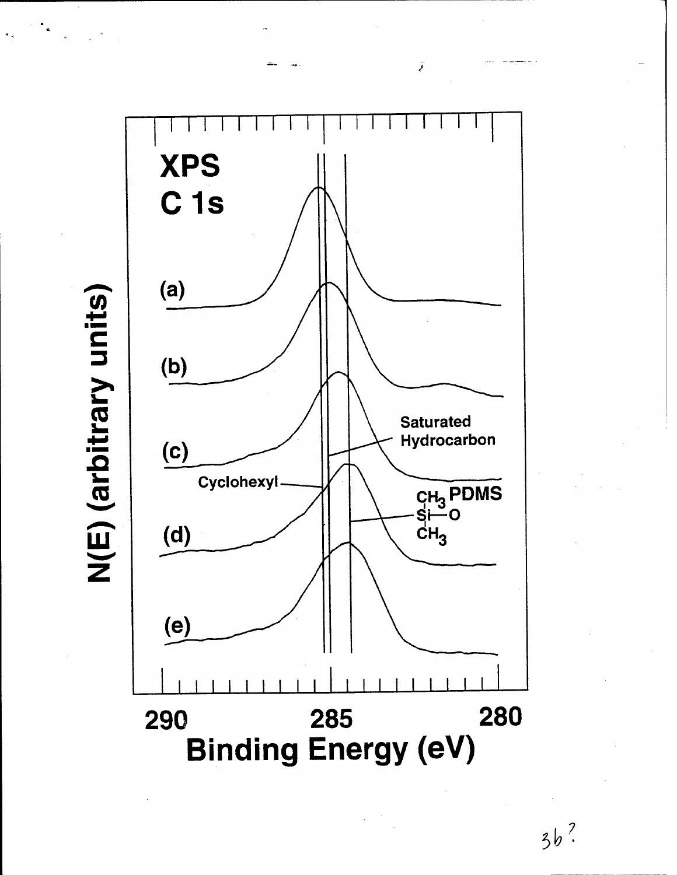N(E) (arbitrary units)



Ï

 $3b$ ?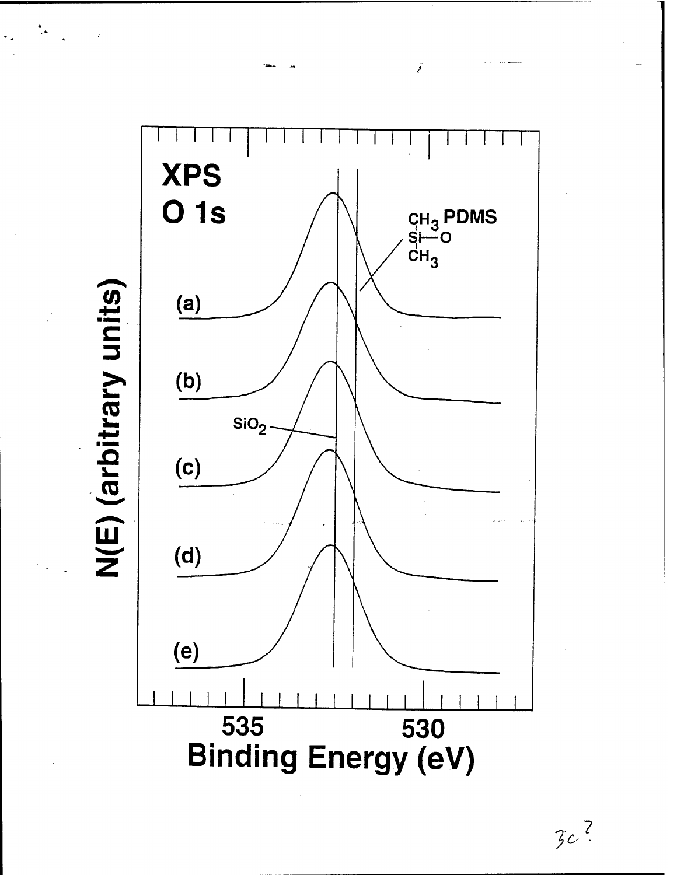N(E) (arbitrary units)



ÿ